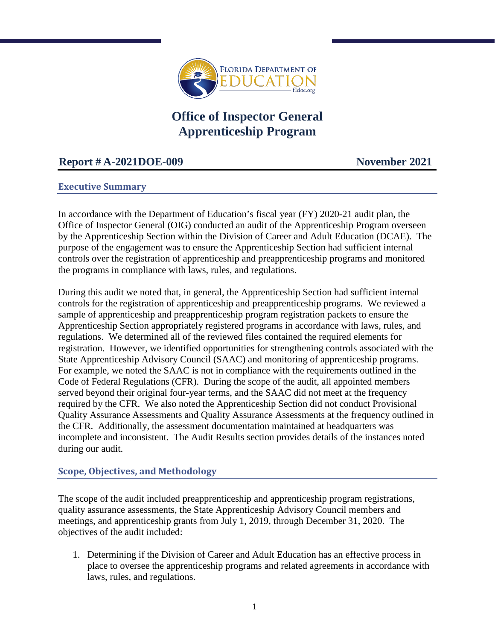

# **Office of Inspector General Apprenticeship Program**

# **Report # A-2021DOE-009 November 2021**

#### **Executive Summary**

In accordance with the Department of Education's fiscal year (FY) 2020-21 audit plan, the Office of Inspector General (OIG) conducted an audit of the Apprenticeship Program overseen by the Apprenticeship Section within the Division of Career and Adult Education (DCAE). The purpose of the engagement was to ensure the Apprenticeship Section had sufficient internal controls over the registration of apprenticeship and preapprenticeship programs and monitored the programs in compliance with laws, rules, and regulations.

During this audit we noted that, in general, the Apprenticeship Section had sufficient internal controls for the registration of apprenticeship and preapprenticeship programs. We reviewed a sample of apprenticeship and preapprenticeship program registration packets to ensure the Apprenticeship Section appropriately registered programs in accordance with laws, rules, and regulations. We determined all of the reviewed files contained the required elements for registration. However, we identified opportunities for strengthening controls associated with the State Apprenticeship Advisory Council (SAAC) and monitoring of apprenticeship programs. For example, we noted the SAAC is not in compliance with the requirements outlined in the Code of Federal Regulations (CFR). During the scope of the audit, all appointed members served beyond their original four-year terms, and the SAAC did not meet at the frequency required by the CFR. We also noted the Apprenticeship Section did not conduct Provisional Quality Assurance Assessments and Quality Assurance Assessments at the frequency outlined in the CFR. Additionally, the assessment documentation maintained at headquarters was incomplete and inconsistent. The Audit Results section provides details of the instances noted during our audit.

#### **Scope, Objectives, and Methodology**

The scope of the audit included preapprenticeship and apprenticeship program registrations, quality assurance assessments, the State Apprenticeship Advisory Council members and meetings, and apprenticeship grants from July 1, 2019, through December 31, 2020. The objectives of the audit included:

1. Determining if the Division of Career and Adult Education has an effective process in place to oversee the apprenticeship programs and related agreements in accordance with laws, rules, and regulations.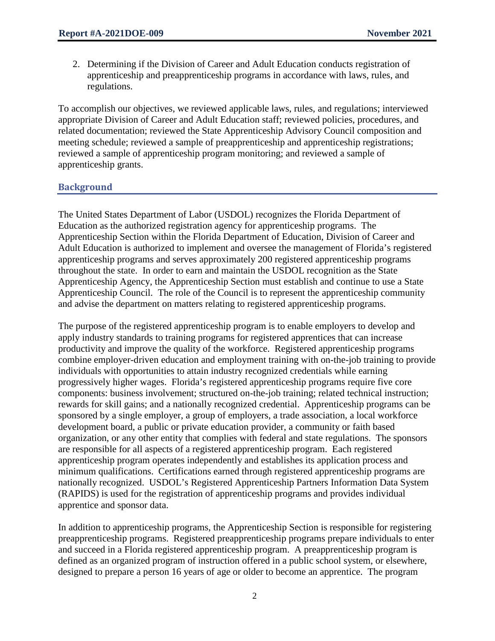2. Determining if the Division of Career and Adult Education conducts registration of apprenticeship and preapprenticeship programs in accordance with laws, rules, and regulations.

To accomplish our objectives, we reviewed applicable laws, rules, and regulations; interviewed appropriate Division of Career and Adult Education staff; reviewed policies, procedures, and related documentation; reviewed the State Apprenticeship Advisory Council composition and meeting schedule; reviewed a sample of preapprenticeship and apprenticeship registrations; reviewed a sample of apprenticeship program monitoring; and reviewed a sample of apprenticeship grants.

### **Background**

The United States Department of Labor (USDOL) recognizes the Florida Department of Education as the authorized registration agency for apprenticeship programs. The Apprenticeship Section within the Florida Department of Education, Division of Career and Adult Education is authorized to implement and oversee the management of Florida's registered apprenticeship programs and serves approximately 200 registered apprenticeship programs throughout the state. In order to earn and maintain the USDOL recognition as the State Apprenticeship Agency, the Apprenticeship Section must establish and continue to use a State Apprenticeship Council. The role of the Council is to represent the apprenticeship community and advise the department on matters relating to registered apprenticeship programs.

The purpose of the registered apprenticeship program is to enable employers to develop and apply industry standards to training programs for registered apprentices that can increase productivity and improve the quality of the workforce. Registered apprenticeship programs combine employer-driven education and employment training with on-the-job training to provide individuals with opportunities to attain industry recognized credentials while earning progressively higher wages. Florida's registered apprenticeship programs require five core components: business involvement; structured on-the-job training; related technical instruction; rewards for skill gains; and a nationally recognized credential. Apprenticeship programs can be sponsored by a single employer, a group of employers, a trade association, a local workforce development board, a public or private education provider, a community or faith based organization, or any other entity that complies with federal and state regulations. The sponsors are responsible for all aspects of a registered apprenticeship program. Each registered apprenticeship program operates independently and establishes its application process and minimum qualifications. Certifications earned through registered apprenticeship programs are nationally recognized. USDOL's Registered Apprenticeship Partners Information Data System (RAPIDS) is used for the registration of apprenticeship programs and provides individual apprentice and sponsor data.

In addition to apprenticeship programs, the Apprenticeship Section is responsible for registering preapprenticeship programs. Registered preapprenticeship programs prepare individuals to enter and succeed in a Florida registered apprenticeship program. A preapprenticeship program is defined as an organized program of instruction offered in a public school system, or elsewhere, designed to prepare a person 16 years of age or older to become an apprentice. The program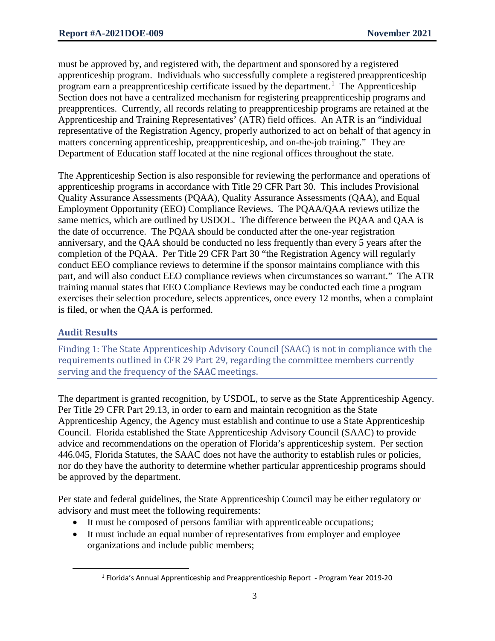must be approved by, and registered with, the department and sponsored by a registered apprenticeship program. Individuals who successfully complete a registered preapprenticeship program earn a preapprenticeship certificate issued by the department.<sup>[1](#page-2-0)</sup> The Apprenticeship Section does not have a centralized mechanism for registering preapprenticeship programs and preapprentices. Currently, all records relating to preapprenticeship programs are retained at the Apprenticeship and Training Representatives' (ATR) field offices. An ATR is an "individual representative of the Registration Agency, properly authorized to act on behalf of that agency in matters concerning apprenticeship, preapprenticeship, and on-the-job training." They are Department of Education staff located at the nine regional offices throughout the state.

The Apprenticeship Section is also responsible for reviewing the performance and operations of apprenticeship programs in accordance with Title 29 CFR Part 30. This includes Provisional Quality Assurance Assessments (PQAA), Quality Assurance Assessments (QAA), and Equal Employment Opportunity (EEO) Compliance Reviews. The PQAA/QAA reviews utilize the same metrics, which are outlined by USDOL. The difference between the PQAA and QAA is the date of occurrence. The PQAA should be conducted after the one-year registration anniversary, and the QAA should be conducted no less frequently than every 5 years after the completion of the PQAA. Per Title 29 CFR Part 30 "the Registration Agency will regularly conduct EEO compliance reviews to determine if the sponsor maintains compliance with this part, and will also conduct EEO compliance reviews when circumstances so warrant." The ATR training manual states that EEO Compliance Reviews may be conducted each time a program exercises their selection procedure, selects apprentices, once every 12 months, when a complaint is filed, or when the QAA is performed.

## **Audit Results**

Finding 1: The State Apprenticeship Advisory Council (SAAC) is not in compliance with the requirements outlined in CFR 29 Part 29, regarding the committee members currently serving and the frequency of the SAAC meetings.

The department is granted recognition, by USDOL, to serve as the State Apprenticeship Agency. Per Title 29 CFR Part 29.13, in order to earn and maintain recognition as the State Apprenticeship Agency, the Agency must establish and continue to use a State Apprenticeship Council. Florida established the State Apprenticeship Advisory Council (SAAC) to provide advice and recommendations on the operation of Florida's apprenticeship system. Per section 446.045, Florida Statutes, the SAAC does not have the authority to establish rules or policies, nor do they have the authority to determine whether particular apprenticeship programs should be approved by the department.

Per state and federal guidelines, the State Apprenticeship Council may be either regulatory or advisory and must meet the following requirements:

- It must be composed of persons familiar with apprenticeable occupations;
- <span id="page-2-0"></span>• It must include an equal number of representatives from employer and employee organizations and include public members;

 <sup>1</sup> Florida's Annual Apprenticeship and Preapprenticeship Report - Program Year 2019-20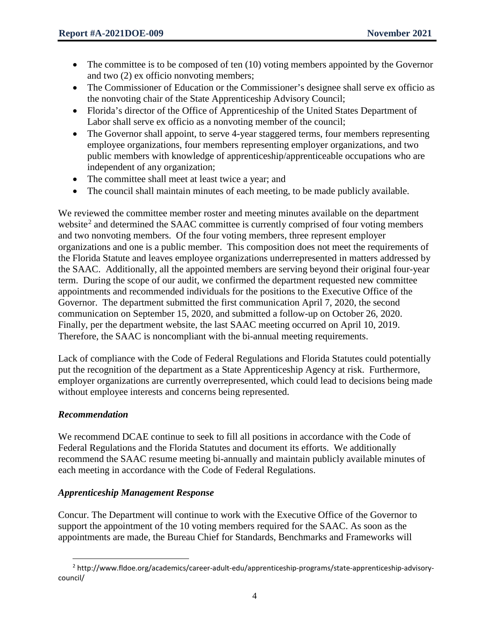- The committee is to be composed of ten (10) voting members appointed by the Governor and two (2) ex officio nonvoting members;
- The Commissioner of Education or the Commissioner's designee shall serve ex officio as the nonvoting chair of the State Apprenticeship Advisory Council;
- Florida's director of the Office of Apprenticeship of the United States Department of Labor shall serve ex officio as a nonvoting member of the council;
- The Governor shall appoint, to serve 4-year staggered terms, four members representing employee organizations, four members representing employer organizations, and two public members with knowledge of apprenticeship/apprenticeable occupations who are independent of any organization;
- The committee shall meet at least twice a year; and
- The council shall maintain minutes of each meeting, to be made publicly available.

We reviewed the committee member roster and meeting minutes available on the department website<sup>[2](#page-3-0)</sup> and determined the SAAC committee is currently comprised of four voting members and two nonvoting members. Of the four voting members, three represent employer organizations and one is a public member. This composition does not meet the requirements of the Florida Statute and leaves employee organizations underrepresented in matters addressed by the SAAC. Additionally, all the appointed members are serving beyond their original four-year term. During the scope of our audit, we confirmed the department requested new committee appointments and recommended individuals for the positions to the Executive Office of the Governor. The department submitted the first communication April 7, 2020, the second communication on September 15, 2020, and submitted a follow-up on October 26, 2020. Finally, per the department website, the last SAAC meeting occurred on April 10, 2019. Therefore, the SAAC is noncompliant with the bi-annual meeting requirements.

Lack of compliance with the Code of Federal Regulations and Florida Statutes could potentially put the recognition of the department as a State Apprenticeship Agency at risk. Furthermore, employer organizations are currently overrepresented, which could lead to decisions being made without employee interests and concerns being represented.

#### *Recommendation*

We recommend DCAE continue to seek to fill all positions in accordance with the Code of Federal Regulations and the Florida Statutes and document its efforts. We additionally recommend the SAAC resume meeting bi-annually and maintain publicly available minutes of each meeting in accordance with the Code of Federal Regulations.

#### *Apprenticeship Management Response*

Concur. The Department will continue to work with the Executive Office of the Governor to support the appointment of the 10 voting members required for the SAAC. As soon as the appointments are made, the Bureau Chief for Standards, Benchmarks and Frameworks will

<span id="page-3-0"></span> <sup>2</sup> http://www.fldoe.org/academics/career-adult-edu/apprenticeship-programs/state-apprenticeship-advisorycouncil/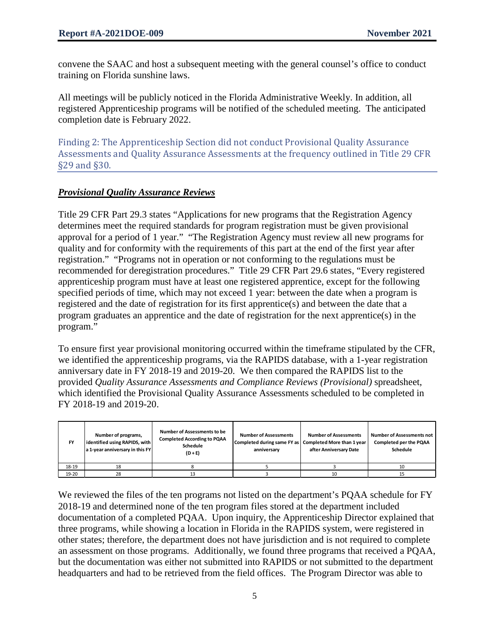convene the SAAC and host a subsequent meeting with the general counsel's office to conduct training on Florida sunshine laws.

All meetings will be publicly noticed in the Florida Administrative Weekly. In addition, all registered Apprenticeship programs will be notified of the scheduled meeting. The anticipated completion date is February 2022.

Finding 2: The Apprenticeship Section did not conduct Provisional Quality Assurance Assessments and Quality Assurance Assessments at the frequency outlined in Title 29 CFR §29 and §30.

#### *Provisional Quality Assurance Reviews*

Title 29 CFR Part 29.3 states "Applications for new programs that the Registration Agency determines meet the required standards for program registration must be given provisional approval for a period of 1 year." "The Registration Agency must review all new programs for quality and for conformity with the requirements of this part at the end of the first year after registration." "Programs not in operation or not conforming to the regulations must be recommended for deregistration procedures." Title 29 CFR Part 29.6 states, "Every registered apprenticeship program must have at least one registered apprentice, except for the following specified periods of time, which may not exceed 1 year: between the date when a program is registered and the date of registration for its first apprentice(s) and between the date that a program graduates an apprentice and the date of registration for the next apprentice(s) in the program."

To ensure first year provisional monitoring occurred within the timeframe stipulated by the CFR, we identified the apprenticeship programs, via the RAPIDS database, with a 1-year registration anniversary date in FY 2018-19 and 2019-20. We then compared the RAPIDS list to the provided *Quality Assurance Assessments and Compliance Reviews (Provisional)* spreadsheet, which identified the Provisional Quality Assurance Assessments scheduled to be completed in FY 2018-19 and 2019-20.

| <b>FY</b> | Number of programs,<br>identified using RAPIDS, with<br>a 1-year anniversary in this FY | <b>Number of Assessments to be</b><br><b>Completed According to PQAA</b><br>Schedule<br>$(D + E)$ | <b>Number of Assessments</b><br>Completed during same FY as   Completed More than 1 year<br>anniversary | <b>Number of Assessments</b><br>after Anniversary Date | <b>Number of Assessments not</b><br><b>Completed per the PQAA</b><br>Schedule |
|-----------|-----------------------------------------------------------------------------------------|---------------------------------------------------------------------------------------------------|---------------------------------------------------------------------------------------------------------|--------------------------------------------------------|-------------------------------------------------------------------------------|
| 18-19     | 18                                                                                      |                                                                                                   |                                                                                                         |                                                        | 10                                                                            |
| 19-20     | 28                                                                                      | 43                                                                                                |                                                                                                         | 10                                                     |                                                                               |

We reviewed the files of the ten programs not listed on the department's POAA schedule for FY 2018-19 and determined none of the ten program files stored at the department included documentation of a completed PQAA. Upon inquiry, the Apprenticeship Director explained that three programs, while showing a location in Florida in the RAPIDS system, were registered in other states; therefore, the department does not have jurisdiction and is not required to complete an assessment on those programs. Additionally, we found three programs that received a PQAA, but the documentation was either not submitted into RAPIDS or not submitted to the department headquarters and had to be retrieved from the field offices. The Program Director was able to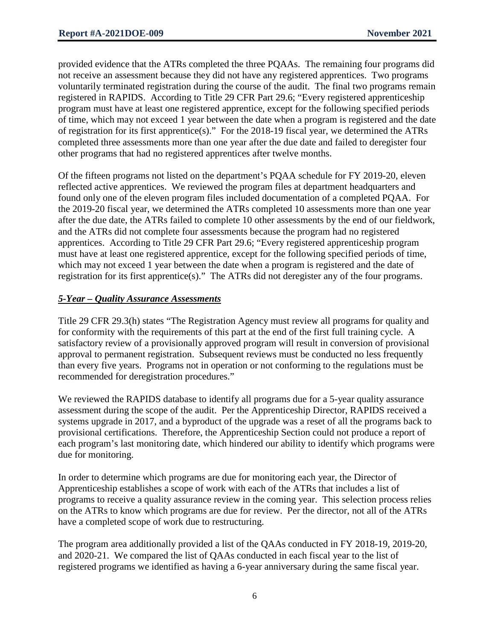provided evidence that the ATRs completed the three PQAAs. The remaining four programs did not receive an assessment because they did not have any registered apprentices. Two programs voluntarily terminated registration during the course of the audit. The final two programs remain registered in RAPIDS. According to Title 29 CFR Part 29.6; "Every registered apprenticeship program must have at least one registered apprentice, except for the following specified periods of time, which may not exceed 1 year between the date when a program is registered and the date of registration for its first apprentice(s)." For the 2018-19 fiscal year, we determined the ATRs completed three assessments more than one year after the due date and failed to deregister four other programs that had no registered apprentices after twelve months.

Of the fifteen programs not listed on the department's PQAA schedule for FY 2019-20, eleven reflected active apprentices. We reviewed the program files at department headquarters and found only one of the eleven program files included documentation of a completed PQAA. For the 2019-20 fiscal year, we determined the ATRs completed 10 assessments more than one year after the due date, the ATRs failed to complete 10 other assessments by the end of our fieldwork, and the ATRs did not complete four assessments because the program had no registered apprentices. According to Title 29 CFR Part 29.6; "Every registered apprenticeship program must have at least one registered apprentice, except for the following specified periods of time, which may not exceed 1 year between the date when a program is registered and the date of registration for its first apprentice(s)." The ATRs did not deregister any of the four programs.

#### *5-Year – Quality Assurance Assessments*

Title 29 CFR 29.3(h) states "The Registration Agency must review all programs for quality and for conformity with the requirements of this part at the end of the first full training cycle. A satisfactory review of a provisionally approved program will result in conversion of provisional approval to permanent registration. Subsequent reviews must be conducted no less frequently than every five years. Programs not in operation or not conforming to the regulations must be recommended for deregistration procedures."

We reviewed the RAPIDS database to identify all programs due for a 5-year quality assurance assessment during the scope of the audit. Per the Apprenticeship Director, RAPIDS received a systems upgrade in 2017, and a byproduct of the upgrade was a reset of all the programs back to provisional certifications. Therefore, the Apprenticeship Section could not produce a report of each program's last monitoring date, which hindered our ability to identify which programs were due for monitoring.

In order to determine which programs are due for monitoring each year, the Director of Apprenticeship establishes a scope of work with each of the ATRs that includes a list of programs to receive a quality assurance review in the coming year. This selection process relies on the ATRs to know which programs are due for review. Per the director, not all of the ATRs have a completed scope of work due to restructuring.

The program area additionally provided a list of the QAAs conducted in FY 2018-19, 2019-20, and 2020-21. We compared the list of QAAs conducted in each fiscal year to the list of registered programs we identified as having a 6-year anniversary during the same fiscal year.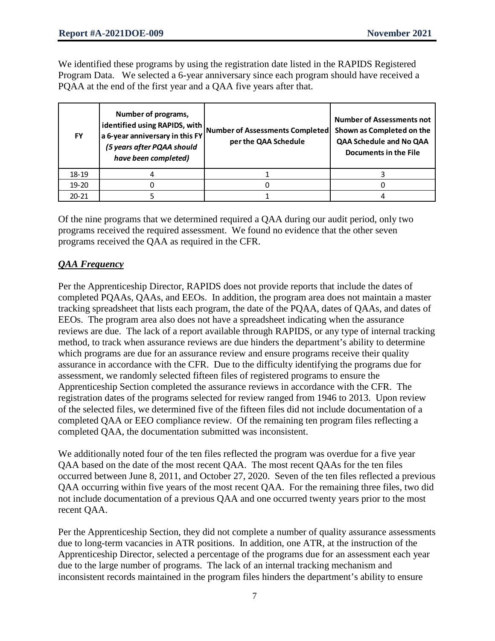We identified these programs by using the registration date listed in the RAPIDS Registered Program Data. We selected a 6-year anniversary since each program should have received a PQAA at the end of the first year and a QAA five years after that.

| <b>FY</b> | Number of programs,<br>identified using RAPIDS, with<br>a 6-year anniversary in this FY<br>(5 years after PQAA should<br>have been completed) | Number of Assessments Completed<br>per the QAA Schedule | <b>Number of Assessments not</b><br>Shown as Completed on the<br>QAA Schedule and No QAA<br><b>Documents in the File</b> |
|-----------|-----------------------------------------------------------------------------------------------------------------------------------------------|---------------------------------------------------------|--------------------------------------------------------------------------------------------------------------------------|
| 18-19     |                                                                                                                                               |                                                         |                                                                                                                          |
| $19 - 20$ |                                                                                                                                               |                                                         |                                                                                                                          |
| $20 - 21$ |                                                                                                                                               |                                                         |                                                                                                                          |

Of the nine programs that we determined required a QAA during our audit period, only two programs received the required assessment. We found no evidence that the other seven programs received the QAA as required in the CFR.

#### *QAA Frequency*

Per the Apprenticeship Director, RAPIDS does not provide reports that include the dates of completed PQAAs, QAAs, and EEOs. In addition, the program area does not maintain a master tracking spreadsheet that lists each program, the date of the PQAA, dates of QAAs, and dates of EEOs. The program area also does not have a spreadsheet indicating when the assurance reviews are due. The lack of a report available through RAPIDS, or any type of internal tracking method, to track when assurance reviews are due hinders the department's ability to determine which programs are due for an assurance review and ensure programs receive their quality assurance in accordance with the CFR. Due to the difficulty identifying the programs due for assessment, we randomly selected fifteen files of registered programs to ensure the Apprenticeship Section completed the assurance reviews in accordance with the CFR. The registration dates of the programs selected for review ranged from 1946 to 2013. Upon review of the selected files, we determined five of the fifteen files did not include documentation of a completed QAA or EEO compliance review. Of the remaining ten program files reflecting a completed QAA, the documentation submitted was inconsistent.

We additionally noted four of the ten files reflected the program was overdue for a five year QAA based on the date of the most recent QAA. The most recent QAAs for the ten files occurred between June 8, 2011, and October 27, 2020. Seven of the ten files reflected a previous QAA occurring within five years of the most recent QAA. For the remaining three files, two did not include documentation of a previous QAA and one occurred twenty years prior to the most recent QAA.

Per the Apprenticeship Section, they did not complete a number of quality assurance assessments due to long-term vacancies in ATR positions. In addition, one ATR, at the instruction of the Apprenticeship Director, selected a percentage of the programs due for an assessment each year due to the large number of programs. The lack of an internal tracking mechanism and inconsistent records maintained in the program files hinders the department's ability to ensure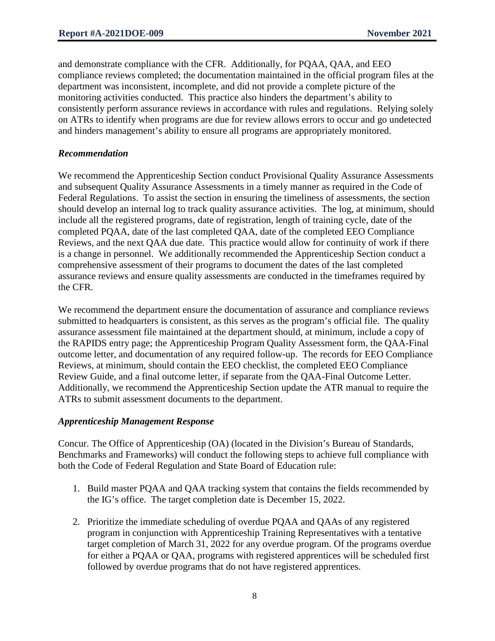and demonstrate compliance with the CFR. Additionally, for PQAA, QAA, and EEO compliance reviews completed; the documentation maintained in the official program files at the department was inconsistent, incomplete, and did not provide a complete picture of the monitoring activities conducted. This practice also hinders the department's ability to consistently perform assurance reviews in accordance with rules and regulations. Relying solely on ATRs to identify when programs are due for review allows errors to occur and go undetected and hinders management's ability to ensure all programs are appropriately monitored.

#### *Recommendation*

We recommend the Apprenticeship Section conduct Provisional Quality Assurance Assessments and subsequent Quality Assurance Assessments in a timely manner as required in the Code of Federal Regulations. To assist the section in ensuring the timeliness of assessments, the section should develop an internal log to track quality assurance activities. The log, at minimum, should include all the registered programs, date of registration, length of training cycle, date of the completed PQAA, date of the last completed QAA, date of the completed EEO Compliance Reviews, and the next QAA due date. This practice would allow for continuity of work if there is a change in personnel. We additionally recommended the Apprenticeship Section conduct a comprehensive assessment of their programs to document the dates of the last completed assurance reviews and ensure quality assessments are conducted in the timeframes required by the CFR.

We recommend the department ensure the documentation of assurance and compliance reviews submitted to headquarters is consistent, as this serves as the program's official file. The quality assurance assessment file maintained at the department should, at minimum, include a copy of the RAPIDS entry page; the Apprenticeship Program Quality Assessment form, the QAA-Final outcome letter, and documentation of any required follow-up. The records for EEO Compliance Reviews, at minimum, should contain the EEO checklist, the completed EEO Compliance Review Guide, and a final outcome letter, if separate from the QAA-Final Outcome Letter. Additionally, we recommend the Apprenticeship Section update the ATR manual to require the ATRs to submit assessment documents to the department.

#### *Apprenticeship Management Response*

Concur. The Office of Apprenticeship (OA) (located in the Division's Bureau of Standards, Benchmarks and Frameworks) will conduct the following steps to achieve full compliance with both the Code of Federal Regulation and State Board of Education rule:

- 1. Build master PQAA and QAA tracking system that contains the fields recommended by the IG's office. The target completion date is December 15, 2022.
- 2. Prioritize the immediate scheduling of overdue PQAA and QAAs of any registered program in conjunction with Apprenticeship Training Representatives with a tentative target completion of March 31, 2022 for any overdue program. Of the programs overdue for either a PQAA or QAA, programs with registered apprentices will be scheduled first followed by overdue programs that do not have registered apprentices.